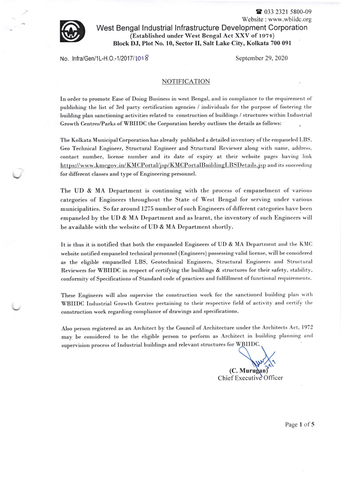

Website : www.wbiidc.org West Bengal lndustrial lnfrastructure Development Corporation (Established under West Bengal Act XXV of 1974) Block DJ, PIot No. 10, Sector II, Salt Lake City, Kolkata 700 091

No. lnfra/Gen/1L-H.O.-1/2017/1018 September 29, 2020

<sup>2</sup> 033 2321 5800-09

## NOTIFICATION

In order to promote Ease of Doing Business in west Bengal, and in compliance to the requirement of publishing the list of 3rd party certification agencies / individuals for the purpose of fostering the building plan sanctioning activities related to construction of buildings / structures within Industrial Growth Centres/Parks of WBIIDC the Corporation hereby outlines the details as follows:

The Kolkata Municipal Corporation has already published a detailed inventory of the empaneled LBS. Geo Technical Bngineer, Structural Engineer and Structural Reviewer along with name, address. contact number, license number and its date of expiry at their website pages having link https://www.kmcgov.in/KMCPortal/jsp/KMCPortalBuildingLBSDetails.jsp and its succeeding for different classes and type of Engineering personnel.

The UD & MA Department is continuing with the process of empanelment of various categories of Engineers throughout the State of West Bengal for serving under various municipalities. So far around 1275 number of such Engineers of different categories have been empaneled by the UD & MA Department and as learnt, the inventory of such Engineers will be available with the website of UD & MA Department shortly.

It is thus it is notified that both the empaneled Engineers of UD & MA Department and the KMC website notified empaneled technical personnel (Engineers) possessing valid license, will be considered as the eligible empanelled LBS, Geotechnical Engineers, Structural Engineers and Structural Reviewers for WBIIDC in respect of certifying the buildings & structures for their safety, stability, conformity of Specifications of Standard code of practices and fulfillment of functional requirements.

These Engineers will also supervise the construction work for the sanctioned building plan with WBIIDC Industrial Growth Centres pertaining to their respective field of activity and certify the construction work regarding compliance of drawings and specifications.

Also person registered as an Architect by the Council of Architecture under the Architects Act, <sup>1972</sup> may be considered to be the eligible person to perform as Architect in building planning and supervision process of Industrial buildings and relevant structures for WBIIDC

(C. Mu Chief Executive Officer

Page 1 of 5